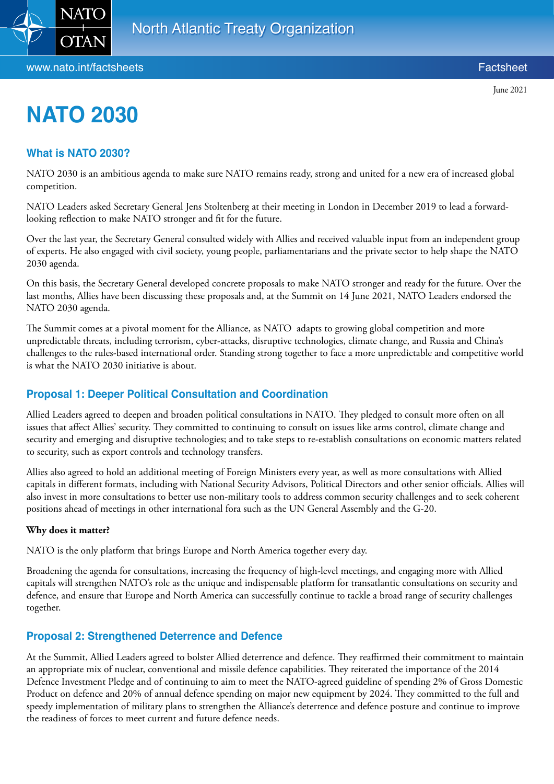

# **NATO 2030**

## **What is NATO 2030?**

NATO 2030 is an ambitious agenda to make sure NATO remains ready, strong and united for a new era of increased global competition.

NATO Leaders asked Secretary General Jens Stoltenberg at their meeting in London in December 2019 to lead a forwardlooking reflection to make NATO stronger and fit for the future.

Over the last year, the Secretary General consulted widely with Allies and received valuable input from an independent group of experts. He also engaged with civil society, young people, parliamentarians and the private sector to help shape the NATO 2030 agenda.

On this basis, the Secretary General developed concrete proposals to make NATO stronger and ready for the future. Over the last months, Allies have been discussing these proposals and, at the Summit on 14 June 2021, NATO Leaders endorsed the NATO 2030 agenda.

The Summit comes at a pivotal moment for the Alliance, as NATO adapts to growing global competition and more unpredictable threats, including terrorism, cyber-attacks, disruptive technologies, climate change, and Russia and China's challenges to the rules-based international order. Standing strong together to face a more unpredictable and competitive world is what the NATO 2030 initiative is about.

## **Proposal 1: Deeper Political Consultation and Coordination**

Allied Leaders agreed to deepen and broaden political consultations in NATO. They pledged to consult more often on all issues that affect Allies' security. They committed to continuing to consult on issues like arms control, climate change and security and emerging and disruptive technologies; and to take steps to re-establish consultations on economic matters related to security, such as export controls and technology transfers.

Allies also agreed to hold an additional meeting of Foreign Ministers every year, as well as more consultations with Allied capitals in different formats, including with National Security Advisors, Political Directors and other senior officials. Allies will also invest in more consultations to better use non-military tools to address common security challenges and to seek coherent positions ahead of meetings in other international fora such as the UN General Assembly and the G-20.

#### **Why does it matter?**

NATO is the only platform that brings Europe and North America together every day.

Broadening the agenda for consultations, increasing the frequency of high-level meetings, and engaging more with Allied capitals will strengthen NATO's role as the unique and indispensable platform for transatlantic consultations on security and defence, and ensure that Europe and North America can successfully continue to tackle a broad range of security challenges together.

## **Proposal 2: Strengthened Deterrence and Defence**

At the Summit, Allied Leaders agreed to bolster Allied deterrence and defence. They reaffirmed their commitment to maintain an appropriate mix of nuclear, conventional and missile defence capabilities. They reiterated the importance of the 2014 Defence Investment Pledge and of continuing to aim to meet the NATO-agreed guideline of spending 2% of Gross Domestic Product on defence and 20% of annual defence spending on major new equipment by 2024. They committed to the full and speedy implementation of military plans to strengthen the Alliance's deterrence and defence posture and continue to improve the readiness of forces to meet current and future defence needs.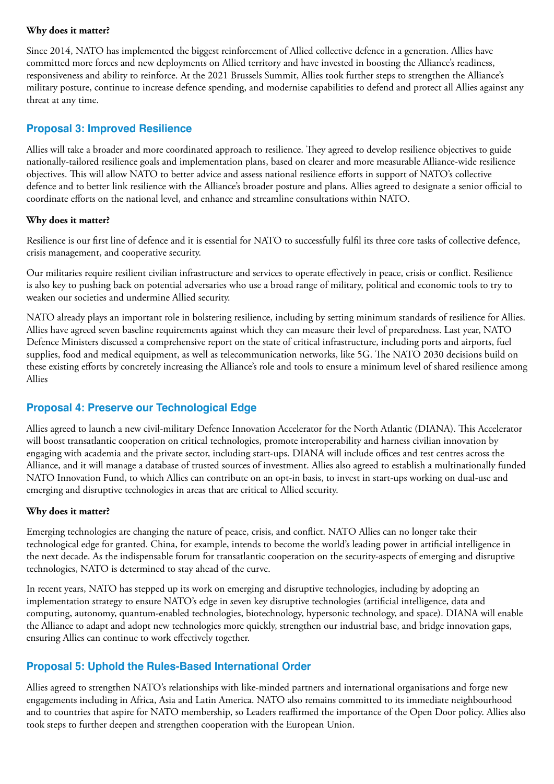## **Why does it matter?**

Since 2014, NATO has implemented the biggest reinforcement of Allied collective defence in a generation. Allies have committed more forces and new deployments on Allied territory and have invested in boosting the Alliance's readiness, responsiveness and ability to reinforce. At the 2021 Brussels Summit, Allies took further steps to strengthen the Alliance's military posture, continue to increase defence spending, and modernise capabilities to defend and protect all Allies against any threat at any time.

## **Proposal 3: Improved Resilience**

Allies will take a broader and more coordinated approach to resilience. They agreed to develop resilience objectives to guide nationally-tailored resilience goals and implementation plans, based on clearer and more measurable Alliance-wide resilience objectives. This will allow NATO to better advice and assess national resilience efforts in support of NATO's collective defence and to better link resilience with the Alliance's broader posture and plans. Allies agreed to designate a senior official to coordinate efforts on the national level, and enhance and streamline consultations within NATO.

#### **Why does it matter?**

Resilience is our first line of defence and it is essential for NATO to successfully fulfil its three core tasks of collective defence, crisis management, and cooperative security.

Our militaries require resilient civilian infrastructure and services to operate effectively in peace, crisis or conflict. Resilience is also key to pushing back on potential adversaries who use a broad range of military, political and economic tools to try to weaken our societies and undermine Allied security.

NATO already plays an important role in bolstering resilience, including by setting minimum standards of resilience for Allies. Allies have agreed seven baseline requirements against which they can measure their level of preparedness. Last year, NATO Defence Ministers discussed a comprehensive report on the state of critical infrastructure, including ports and airports, fuel supplies, food and medical equipment, as well as telecommunication networks, like 5G. The NATO 2030 decisions build on these existing efforts by concretely increasing the Alliance's role and tools to ensure a minimum level of shared resilience among Allies

## **Proposal 4: Preserve our Technological Edge**

Allies agreed to launch a new civil-military Defence Innovation Accelerator for the North Atlantic (DIANA). This Accelerator will boost transatlantic cooperation on critical technologies, promote interoperability and harness civilian innovation by engaging with academia and the private sector, including start-ups. DIANA will include offices and test centres across the Alliance, and it will manage a database of trusted sources of investment. Allies also agreed to establish a multinationally funded NATO Innovation Fund, to which Allies can contribute on an opt-in basis, to invest in start-ups working on dual-use and emerging and disruptive technologies in areas that are critical to Allied security.

## **Why does it matter?**

Emerging technologies are changing the nature of peace, crisis, and conflict. NATO Allies can no longer take their technological edge for granted. China, for example, intends to become the world's leading power in artificial intelligence in the next decade. As the indispensable forum for transatlantic cooperation on the security-aspects of emerging and disruptive technologies, NATO is determined to stay ahead of the curve.

In recent years, NATO has stepped up its work on emerging and disruptive technologies, including by adopting an implementation strategy to ensure NATO's edge in seven key disruptive technologies (artificial intelligence, data and computing, autonomy, quantum-enabled technologies, biotechnology, hypersonic technology, and space). DIANA will enable the Alliance to adapt and adopt new technologies more quickly, strengthen our industrial base, and bridge innovation gaps, ensuring Allies can continue to work effectively together.

## **Proposal 5: Uphold the Rules-Based International Order**

Allies agreed to strengthen NATO's relationships with like-minded partners and international organisations and forge new engagements including in Africa, Asia and Latin America. NATO also remains committed to its immediate neighbourhood and to countries that aspire for NATO membership, so Leaders reaffirmed the importance of the Open Door policy. Allies also took steps to further deepen and strengthen cooperation with the European Union.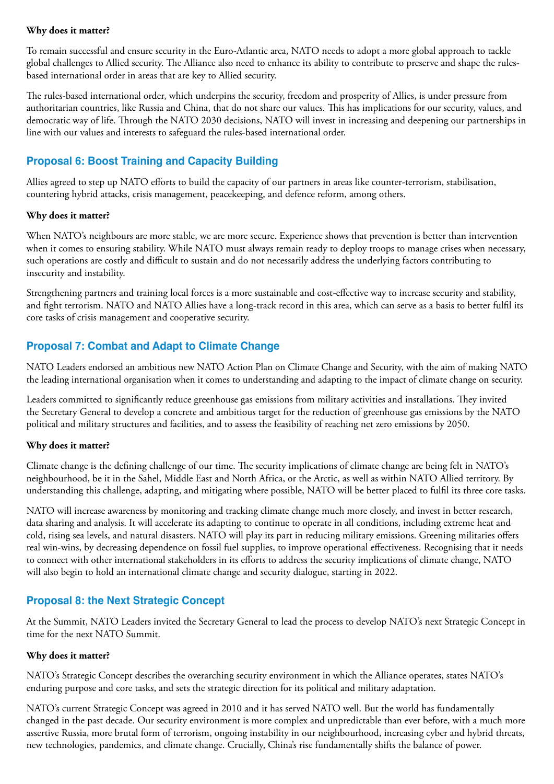## **Why does it matter?**

To remain successful and ensure security in the Euro-Atlantic area, NATO needs to adopt a more global approach to tackle global challenges to Allied security. The Alliance also need to enhance its ability to contribute to preserve and shape the rulesbased international order in areas that are key to Allied security.

The rules-based international order, which underpins the security, freedom and prosperity of Allies, is under pressure from authoritarian countries, like Russia and China, that do not share our values. This has implications for our security, values, and democratic way of life. Through the NATO 2030 decisions, NATO will invest in increasing and deepening our partnerships in line with our values and interests to safeguard the rules-based international order.

# **Proposal 6: Boost Training and Capacity Building**

Allies agreed to step up NATO efforts to build the capacity of our partners in areas like counter-terrorism, stabilisation, countering hybrid attacks, crisis management, peacekeeping, and defence reform, among others.

## **Why does it matter?**

When NATO's neighbours are more stable, we are more secure. Experience shows that prevention is better than intervention when it comes to ensuring stability. While NATO must always remain ready to deploy troops to manage crises when necessary, such operations are costly and difficult to sustain and do not necessarily address the underlying factors contributing to insecurity and instability.

Strengthening partners and training local forces is a more sustainable and cost-effective way to increase security and stability, and fight terrorism. NATO and NATO Allies have a long-track record in this area, which can serve as a basis to better fulfil its core tasks of crisis management and cooperative security.

# **Proposal 7: Combat and Adapt to Climate Change**

NATO Leaders endorsed an ambitious new NATO Action Plan on Climate Change and Security, with the aim of making NATO the leading international organisation when it comes to understanding and adapting to the impact of climate change on security.

Leaders committed to significantly reduce greenhouse gas emissions from military activities and installations. They invited the Secretary General to develop a concrete and ambitious target for the reduction of greenhouse gas emissions by the NATO political and military structures and facilities, and to assess the feasibility of reaching net zero emissions by 2050.

## **Why does it matter?**

Climate change is the defining challenge of our time. The security implications of climate change are being felt in NATO's neighbourhood, be it in the Sahel, Middle East and North Africa, or the Arctic, as well as within NATO Allied territory. By understanding this challenge, adapting, and mitigating where possible, NATO will be better placed to fulfil its three core tasks.

NATO will increase awareness by monitoring and tracking climate change much more closely, and invest in better research, data sharing and analysis. It will accelerate its adapting to continue to operate in all conditions, including extreme heat and cold, rising sea levels, and natural disasters. NATO will play its part in reducing military emissions. Greening militaries offers real win-wins, by decreasing dependence on fossil fuel supplies, to improve operational effectiveness. Recognising that it needs to connect with other international stakeholders in its efforts to address the security implications of climate change, NATO will also begin to hold an international climate change and security dialogue, starting in 2022.

## **Proposal 8: the Next Strategic Concept**

At the Summit, NATO Leaders invited the Secretary General to lead the process to develop NATO's next Strategic Concept in time for the next NATO Summit.

## **Why does it matter?**

NATO's Strategic Concept describes the overarching security environment in which the Alliance operates, states NATO's enduring purpose and core tasks, and sets the strategic direction for its political and military adaptation.

NATO's current Strategic Concept was agreed in 2010 and it has served NATO well. But the world has fundamentally changed in the past decade. Our security environment is more complex and unpredictable than ever before, with a much more assertive Russia, more brutal form of terrorism, ongoing instability in our neighbourhood, increasing cyber and hybrid threats, new technologies, pandemics, and climate change. Crucially, China's rise fundamentally shifts the balance of power.